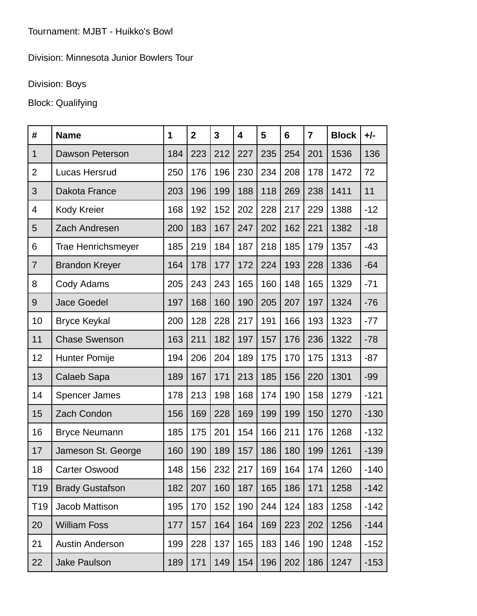## Division: Minnesota Junior Bowlers Tour

## Division: Boys

## Block: Qualifying

| #               | <b>Name</b>               | 1   | $\overline{2}$ | 3   | 4   | 5   | 6   | $\overline{7}$ | <b>Block</b> | $+/-$  |
|-----------------|---------------------------|-----|----------------|-----|-----|-----|-----|----------------|--------------|--------|
| $\mathbf{1}$    | <b>Dawson Peterson</b>    | 184 | 223            | 212 | 227 | 235 | 254 | 201            | 1536         | 136    |
| $\overline{2}$  | Lucas Hersrud             | 250 | 176            | 196 | 230 | 234 | 208 | 178            | 1472         | 72     |
| 3               | Dakota France             | 203 | 196            | 199 | 188 | 118 | 269 | 238            | 1411         | 11     |
| $\overline{4}$  | Kody Kreier               | 168 | 192            | 152 | 202 | 228 | 217 | 229            | 1388         | $-12$  |
| 5               | Zach Andresen             | 200 | 183            | 167 | 247 | 202 | 162 | 221            | 1382         | $-18$  |
| 6               | <b>Trae Henrichsmeyer</b> | 185 | 219            | 184 | 187 | 218 | 185 | 179            | 1357         | $-43$  |
| $\overline{7}$  | <b>Brandon Kreyer</b>     | 164 | 178            | 177 | 172 | 224 | 193 | 228            | 1336         | $-64$  |
| 8               | Cody Adams                | 205 | 243            | 243 | 165 | 160 | 148 | 165            | 1329         | $-71$  |
| 9               | <b>Jace Goedel</b>        | 197 | 168            | 160 | 190 | 205 | 207 | 197            | 1324         | $-76$  |
| 10              | <b>Bryce Keykal</b>       | 200 | 128            | 228 | 217 | 191 | 166 | 193            | 1323         | $-77$  |
| 11              | <b>Chase Swenson</b>      | 163 | 211            | 182 | 197 | 157 | 176 | 236            | 1322         | $-78$  |
| 12              | Hunter Pomije             | 194 | 206            | 204 | 189 | 175 | 170 | 175            | 1313         | $-87$  |
| 13              | Calaeb Sapa               | 189 | 167            | 171 | 213 | 185 | 156 | 220            | 1301         | $-99$  |
| 14              | <b>Spencer James</b>      | 178 | 213            | 198 | 168 | 174 | 190 | 158            | 1279         | $-121$ |
| 15              | Zach Condon               | 156 | 169            | 228 | 169 | 199 | 199 | 150            | 1270         | $-130$ |
| 16              | <b>Bryce Neumann</b>      | 185 | 175            | 201 | 154 | 166 | 211 | 176            | 1268         | $-132$ |
| 17              | Jameson St. George        | 160 | 190            | 189 | 157 | 186 | 180 | 199            | 1261         | $-139$ |
| 18              | <b>Carter Oswood</b>      | 148 | 156            | 232 | 217 | 169 | 164 | 174            | 1260         | $-140$ |
| T <sub>19</sub> | <b>Brady Gustafson</b>    | 182 | 207            | 160 | 187 | 165 | 186 | 171            | 1258         | $-142$ |
| T <sub>19</sub> | Jacob Mattison            | 195 | 170            | 152 | 190 | 244 | 124 | 183            | 1258         | $-142$ |
| 20              | <b>William Foss</b>       | 177 | 157            | 164 | 164 | 169 | 223 | 202            | 1256         | $-144$ |
| 21              | <b>Austin Anderson</b>    | 199 | 228            | 137 | 165 | 183 | 146 | 190            | 1248         | $-152$ |
| 22              | <b>Jake Paulson</b>       | 189 | 171            | 149 | 154 | 196 | 202 | 186            | 1247         | $-153$ |